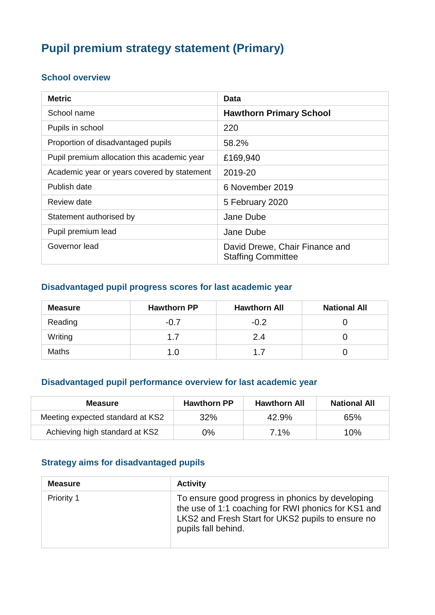# **Pupil premium strategy statement (Primary)**

#### **School overview**

| <b>Metric</b>                               | Data                                                        |
|---------------------------------------------|-------------------------------------------------------------|
| School name                                 | <b>Hawthorn Primary School</b>                              |
| Pupils in school                            | 220                                                         |
| Proportion of disadvantaged pupils          | 58.2%                                                       |
| Pupil premium allocation this academic year | £169,940                                                    |
| Academic year or years covered by statement | 2019-20                                                     |
| Publish date                                | 6 November 2019                                             |
| Review date                                 | 5 February 2020                                             |
| Statement authorised by                     | Jane Dube                                                   |
| Pupil premium lead                          | Jane Dube                                                   |
| Governor lead                               | David Drewe, Chair Finance and<br><b>Staffing Committee</b> |

### **Disadvantaged pupil progress scores for last academic year**

| <b>Measure</b> | <b>Hawthorn PP</b> | <b>Hawthorn All</b> | <b>National All</b> |
|----------------|--------------------|---------------------|---------------------|
| Reading        | $-0.7$             | $-0.2$              |                     |
| Writing        | 1.7                | 2.4                 |                     |
| <b>Maths</b>   | 1.0                | 17                  |                     |

### **Disadvantaged pupil performance overview for last academic year**

| <b>Measure</b>                   | <b>Hawthorn PP</b> | <b>Hawthorn All</b> | <b>National All</b> |
|----------------------------------|--------------------|---------------------|---------------------|
| Meeting expected standard at KS2 | 32%                | 42.9%               | 65%                 |
| Achieving high standard at KS2   | 0%                 | $7.1\%$             | 10%                 |

### **Strategy aims for disadvantaged pupils**

| <b>Measure</b> | <b>Activity</b>                                                                                                                                                                     |
|----------------|-------------------------------------------------------------------------------------------------------------------------------------------------------------------------------------|
| Priority 1     | To ensure good progress in phonics by developing<br>the use of 1:1 coaching for RWI phonics for KS1 and<br>LKS2 and Fresh Start for UKS2 pupils to ensure no<br>pupils fall behind. |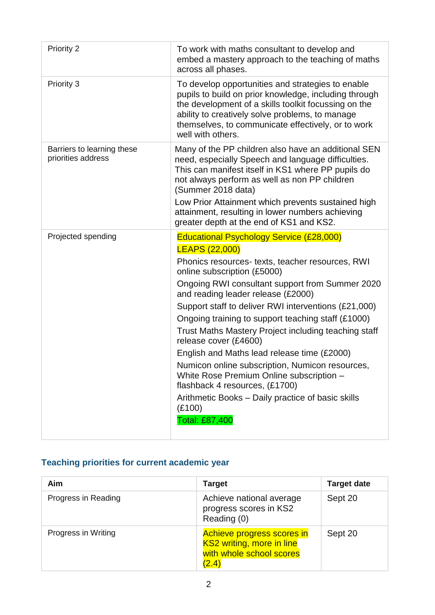| To work with maths consultant to develop and<br>embed a mastery approach to the teaching of maths<br>across all phases.                                                                                                                                                                                                                                                                                                                                                                                                                                                                                                                                                                                                     |
|-----------------------------------------------------------------------------------------------------------------------------------------------------------------------------------------------------------------------------------------------------------------------------------------------------------------------------------------------------------------------------------------------------------------------------------------------------------------------------------------------------------------------------------------------------------------------------------------------------------------------------------------------------------------------------------------------------------------------------|
| To develop opportunities and strategies to enable<br>pupils to build on prior knowledge, including through<br>the development of a skills toolkit focussing on the<br>ability to creatively solve problems, to manage<br>themselves, to communicate effectively, or to work<br>well with others.                                                                                                                                                                                                                                                                                                                                                                                                                            |
| Many of the PP children also have an additional SEN<br>need, especially Speech and language difficulties.<br>This can manifest itself in KS1 where PP pupils do<br>not always perform as well as non PP children<br>(Summer 2018 data)<br>Low Prior Attainment which prevents sustained high<br>attainment, resulting in lower numbers achieving<br>greater depth at the end of KS1 and KS2.                                                                                                                                                                                                                                                                                                                                |
| <b>Educational Psychology Service (£28,000)</b><br><b>LEAPS (22,000)</b><br>Phonics resources- texts, teacher resources, RWI<br>online subscription (£5000)<br>Ongoing RWI consultant support from Summer 2020<br>and reading leader release (£2000)<br>Support staff to deliver RWI interventions (£21,000)<br>Ongoing training to support teaching staff (£1000)<br>Trust Maths Mastery Project including teaching staff<br>release cover (£4600)<br>English and Maths lead release time (£2000)<br>Numicon online subscription, Numicon resources,<br>White Rose Premium Online subscription -<br>flashback 4 resources, (£1700)<br>Arithmetic Books - Daily practice of basic skills<br>(E100)<br><b>Total: £87,400</b> |
|                                                                                                                                                                                                                                                                                                                                                                                                                                                                                                                                                                                                                                                                                                                             |

# **Teaching priorities for current academic year**

| Aim                 | <b>Target</b>                                                                                | <b>Target date</b> |
|---------------------|----------------------------------------------------------------------------------------------|--------------------|
| Progress in Reading | Achieve national average<br>progress scores in KS2<br>Reading (0)                            | Sept 20            |
| Progress in Writing | Achieve progress scores in<br>KS2 writing, more in line<br>with whole school scores<br>(2.4) | Sept 20            |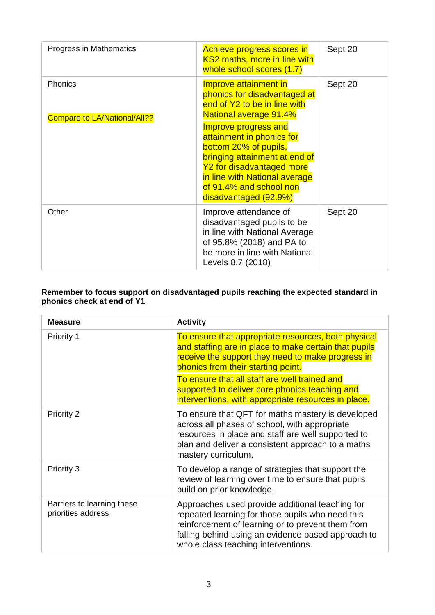| Progress in Mathematics                        | Achieve progress scores in<br>KS2 maths, more in line with<br>whole school scores (1.7)                                                                                                                                       | Sept 20 |
|------------------------------------------------|-------------------------------------------------------------------------------------------------------------------------------------------------------------------------------------------------------------------------------|---------|
| Phonics<br><b>Compare to LA/National/All??</b> | Improve attainment in<br>phonics for disadvantaged at<br>end of Y2 to be in line with<br><b>National average 91.4%</b>                                                                                                        | Sept 20 |
|                                                | Improve progress and<br>attainment in phonics for<br>bottom 20% of pupils,<br>bringing attainment at end of<br>Y2 for disadvantaged more<br>in line with National average<br>of 91.4% and school non<br>disadvantaged (92.9%) |         |
| Other                                          | Improve attendance of<br>disadvantaged pupils to be<br>in line with National Average<br>of 95.8% (2018) and PA to<br>be more in line with National<br>Levels 8.7 (2018)                                                       | Sept 20 |

#### **Remember to focus support on disadvantaged pupils reaching the expected standard in phonics check at end of Y1**

| <b>Measure</b>                                   | <b>Activity</b>                                                                                                                                                                                                                                       |
|--------------------------------------------------|-------------------------------------------------------------------------------------------------------------------------------------------------------------------------------------------------------------------------------------------------------|
| <b>Priority 1</b>                                | To ensure that appropriate resources, both physical<br>and staffing are in place to make certain that pupils<br>receive the support they need to make progress in<br>phonics from their starting point.                                               |
|                                                  | To ensure that all staff are well trained and<br>supported to deliver core phonics teaching and<br>interventions, with appropriate resources in place.                                                                                                |
| <b>Priority 2</b>                                | To ensure that QFT for maths mastery is developed<br>across all phases of school, with appropriate<br>resources in place and staff are well supported to<br>plan and deliver a consistent approach to a maths<br>mastery curriculum.                  |
| Priority 3                                       | To develop a range of strategies that support the<br>review of learning over time to ensure that pupils<br>build on prior knowledge.                                                                                                                  |
| Barriers to learning these<br>priorities address | Approaches used provide additional teaching for<br>repeated learning for those pupils who need this<br>reinforcement of learning or to prevent them from<br>falling behind using an evidence based approach to<br>whole class teaching interventions. |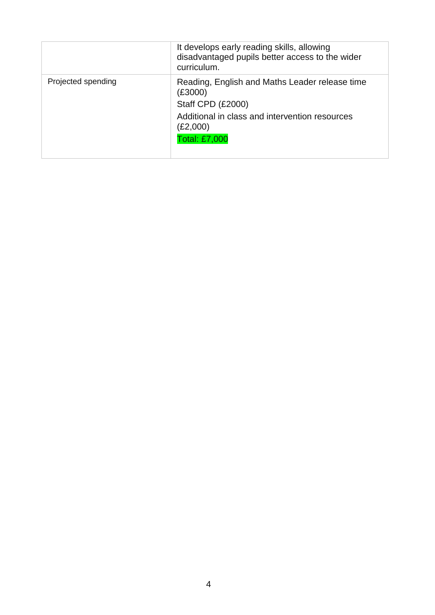|                    | It develops early reading skills, allowing<br>disadvantaged pupils better access to the wider<br>curriculum. |
|--------------------|--------------------------------------------------------------------------------------------------------------|
| Projected spending | Reading, English and Maths Leader release time<br>(£3000)<br>Staff CPD (£2000)                               |
|                    | Additional in class and intervention resources<br>(£2,000)<br>Total: £7,000                                  |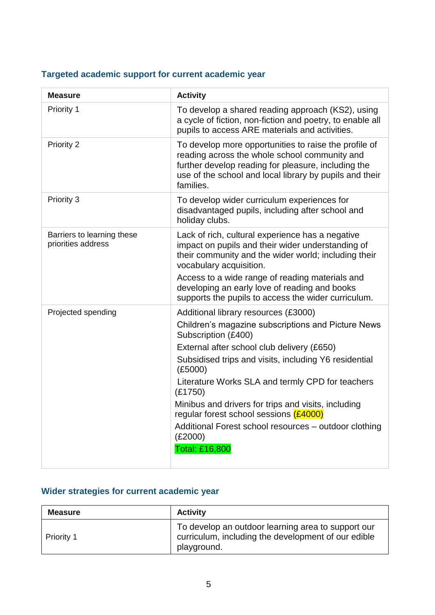# **Targeted academic support for current academic year**

| <b>Measure</b>                                   | <b>Activity</b>                                                                                                                                                                                                                                                                                                                                                                                                                                                                                  |
|--------------------------------------------------|--------------------------------------------------------------------------------------------------------------------------------------------------------------------------------------------------------------------------------------------------------------------------------------------------------------------------------------------------------------------------------------------------------------------------------------------------------------------------------------------------|
| Priority 1                                       | To develop a shared reading approach (KS2), using<br>a cycle of fiction, non-fiction and poetry, to enable all<br>pupils to access ARE materials and activities.                                                                                                                                                                                                                                                                                                                                 |
| Priority 2                                       | To develop more opportunities to raise the profile of<br>reading across the whole school community and<br>further develop reading for pleasure, including the<br>use of the school and local library by pupils and their<br>families.                                                                                                                                                                                                                                                            |
| Priority 3                                       | To develop wider curriculum experiences for<br>disadvantaged pupils, including after school and<br>holiday clubs.                                                                                                                                                                                                                                                                                                                                                                                |
| Barriers to learning these<br>priorities address | Lack of rich, cultural experience has a negative<br>impact on pupils and their wider understanding of<br>their community and the wider world; including their<br>vocabulary acquisition.<br>Access to a wide range of reading materials and<br>developing an early love of reading and books<br>supports the pupils to access the wider curriculum.                                                                                                                                              |
| Projected spending                               | Additional library resources (£3000)<br>Children's magazine subscriptions and Picture News<br>Subscription (£400)<br>External after school club delivery (£650)<br>Subsidised trips and visits, including Y6 residential<br>(E5000)<br>Literature Works SLA and termly CPD for teachers<br>(E1750)<br>Minibus and drivers for trips and visits, including<br>regular forest school sessions (£4000)<br>Additional Forest school resources - outdoor clothing<br>(E2000)<br><b>Total: £16,800</b> |

### **Wider strategies for current academic year**

| <b>Measure</b>    | <b>Activity</b>                                                                                                          |
|-------------------|--------------------------------------------------------------------------------------------------------------------------|
| <b>Priority 1</b> | To develop an outdoor learning area to support our<br>curriculum, including the development of our edible<br>playground. |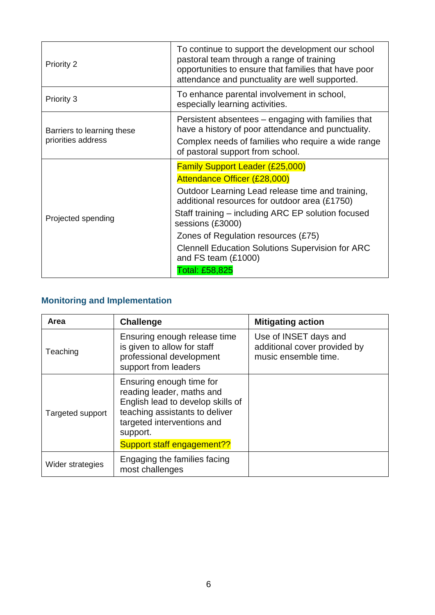| <b>Priority 2</b>                                | To continue to support the development our school<br>pastoral team through a range of training<br>opportunities to ensure that families that have poor<br>attendance and punctuality are well supported.                                                                                                                                                                                                |
|--------------------------------------------------|---------------------------------------------------------------------------------------------------------------------------------------------------------------------------------------------------------------------------------------------------------------------------------------------------------------------------------------------------------------------------------------------------------|
| Priority 3                                       | To enhance parental involvement in school,<br>especially learning activities.                                                                                                                                                                                                                                                                                                                           |
| Barriers to learning these<br>priorities address | Persistent absentees – engaging with families that<br>have a history of poor attendance and punctuality.<br>Complex needs of families who require a wide range<br>of pastoral support from school.                                                                                                                                                                                                      |
| Projected spending                               | <b>Family Support Leader (£25,000)</b><br>Attendance Officer (£28,000)<br>Outdoor Learning Lead release time and training,<br>additional resources for outdoor area (£1750)<br>Staff training – including ARC EP solution focused<br>sessions (£3000)<br>Zones of Regulation resources (£75)<br><b>Clennell Education Solutions Supervision for ARC</b><br>and FS team (£1000)<br><b>Total: £58,825</b> |

# **Monitoring and Implementation**

| Area             | <b>Challenge</b>                                                                                                                                                       | <b>Mitigating action</b>                                                      |
|------------------|------------------------------------------------------------------------------------------------------------------------------------------------------------------------|-------------------------------------------------------------------------------|
| Teaching         | Ensuring enough release time<br>is given to allow for staff<br>professional development<br>support from leaders                                                        | Use of INSET days and<br>additional cover provided by<br>music ensemble time. |
| Targeted support | Ensuring enough time for<br>reading leader, maths and<br>English lead to develop skills of<br>teaching assistants to deliver<br>targeted interventions and<br>support. |                                                                               |
|                  | Support staff engagement??                                                                                                                                             |                                                                               |
| Wider strategies | Engaging the families facing<br>most challenges                                                                                                                        |                                                                               |